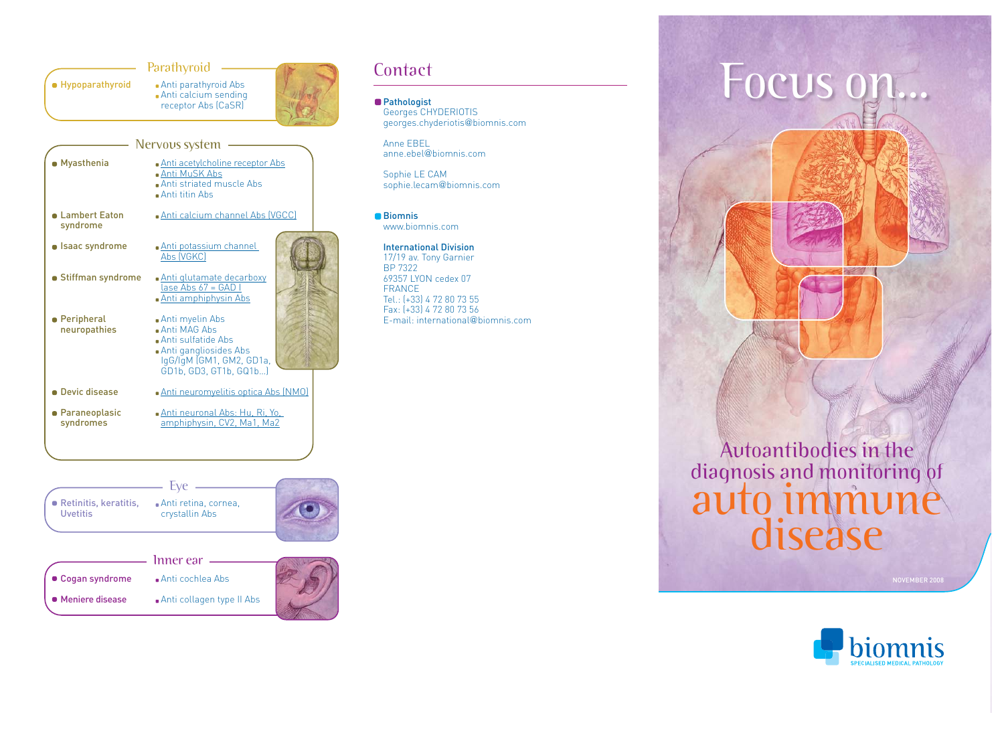



|                   | Inner ear                 |  |
|-------------------|---------------------------|--|
| • Cogan syndrome  | • Anti cochlea Abs        |  |
| • Meniere disease | Anti collagen type II Abs |  |

Georges CHYDERIOTIS georges.chyderiotis@biomnis.com

Anne EBEL anne.ebel@biomnis.com

Sophie LE CAM sophie.lecam@biomnis.com

■Biomnis www.biomnis.com

## International Division

17/19 av. Tony Garnier BP 7322 69357 LYON cedex 07 FRANCE Tel.: (+33) 4 72 80 73 55 Fax: (+33) 4 72 80 73 56 E-mail: international@biomnis.com





NOVEMBER 2008

Contact **EOCUS ON...**